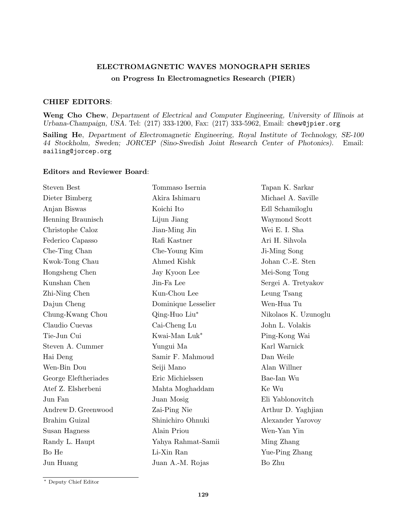## ELECTROMAGNETIC WAVES MONOGRAPH SERIES on Progress In Electromagnetics Research (PIER)

## CHIEF EDITORS:

Weng Cho Chew, Department of Electrical and Computer Engineering, University of Illinois at Urbana-Champaign, USA. Tel: (217) 333-1200, Fax: (217) 333-5962, Email: chew@jpier.org

Sailing He, Department of Electromagnetic Engineering, Royal Institute of Technology, SE-100 44 Stockholm, Sweden; JORCEP (Sino-Swedish Joint Research Center of Photonics). Email: sailing@jorcep.org

## Editors and Reviewer Board:

| <b>Steven Best</b>   | Tommaso Isernia     | Tapan K. Sarkar      |
|----------------------|---------------------|----------------------|
| Dieter Bimberg       | Akira Ishimaru      | Michael A. Saville   |
| Anjan Biswas         | Koichi Ito          | Edl Schamiloglu      |
| Henning Braunisch    | Lijun Jiang         | Waymond Scott        |
| Christophe Caloz     | Jian-Ming Jin       | Wei E. I. Sha        |
| Federico Capasso     | Rafi Kastner        | Ari H. Sihvola       |
| Che-Ting Chan        | Che-Young Kim       | Ji-Ming Song         |
| Kwok-Tong Chau       | Ahmed Kishk         | Johan C.-E. Sten     |
| Hongsheng Chen       | Jay Kyoon Lee       | Mei-Song Tong        |
| Kunshan Chen         | Jin-Fa Lee          | Sergei A. Tretyakov  |
| Zhi-Ning Chen        | Kun-Chou Lee        | Leung Tsang          |
| Dajun Cheng          | Dominique Lesselier | Wen-Hua Tu           |
| Chung-Kwang Chou     | Qing-Huo Liu*       | Nikolaos K. Uzunoglu |
| Claudio Cuevas       | Cai-Cheng Lu        | John L. Volakis      |
| Tie-Jun Cui          | Kwai-Man Luk*       | Ping-Kong Wai        |
| Steven A. Cummer     | Yungui Ma           | Karl Warnick         |
| Hai Deng             | Samir F. Mahmoud    | Dan Weile            |
| Wen-Bin Dou          | Seiji Mano          | Alan Willner         |
| George Eleftheriades | Eric Michielssen    | Bae-Ian Wu           |
| Atef Z. Elsherbeni   | Mahta Moghaddam     | Ke Wu                |
| Jun Fan              | Juan Mosig          | Eli Yablonovitch     |
| Andrew D. Greenwood  | Zai-Ping Nie        | Arthur D. Yaghjian   |
| <b>Brahim Guizal</b> | Shinichiro Ohnuki   | Alexander Yarovoy    |
| Susan Hagness        | Alain Priou         | Wen-Yan Yin          |
| Randy L. Haupt       | Yahya Rahmat-Samii  | Ming Zhang           |
| Bo He                | Li-Xin Ran          | Yue-Ping Zhang       |
| Jun Huang            | Juan A.-M. Rojas    | Bo Zhu               |

<sup>∗</sup> Deputy Chief Editor